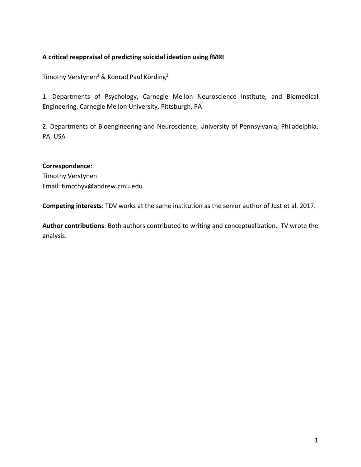# **A critical reappraisal of predicting suicidal ideation using fMRI**

Timothy Verstynen<sup>1</sup> & Konrad Paul Körding<sup>2</sup>

1. Departments of Psychology, Carnegie Mellon Neuroscience Institute, and Biomedical Engineering, Carnegie Mellon University, Pittsburgh, PA

2. Departments of Bioengineering and Neuroscience, University of Pennsylvania, Philadelphia, PA, USA

## **Correspondence**:

Timothy Verstynen Email: timothyv@andrew.cmu.edu

**Competing interests**: TDV works at the same institution as the senior author of Just et al. 2017.

**Author contributions**: Both authors contributed to writing and conceptualization. TV wrote the analysis.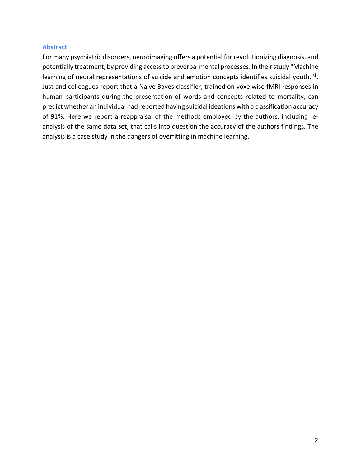## **Abstract**

For many psychiatric disorders, neuroimaging offers a potential for revolutionizing diagnosis, and potentially treatment, by providing access to preverbal mental processes. In their study "Machine learning of neural representations of suicide and emotion concepts identifies suicidal youth."<sup>1</sup>, Just and colleagues report that a Naive Bayes classifier, trained on voxelwise fMRI responses in human participants during the presentation of words and concepts related to mortality, can predict whether an individual had reported having suicidal ideations with a classification accuracy of 91%. Here we report a reappraisal of the methods employed by the authors, including reanalysis of the same data set, that calls into question the accuracy of the authors findings. The analysis is a case study in the dangers of overfitting in machine learning.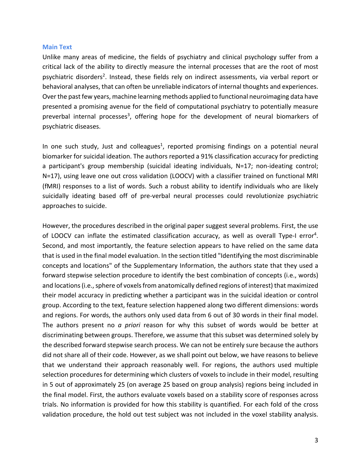### **Main Text**

Unlike many areas of medicine, the fields of psychiatry and clinical psychology suffer from a critical lack of the ability to directly measure the internal processes that are the root of most psychiatric disorders<sup>2</sup>. Instead, these fields rely on indirect assessments, via verbal report or behavioral analyses, that can often be unreliable indicators of internal thoughts and experiences. Over the past few years, machine learning methods applied to functional neuroimaging data have presented a promising avenue for the field of computational psychiatry to potentially measure preverbal internal processes<sup>3</sup>, offering hope for the development of neural biomarkers of psychiatric diseases.

In one such study, Just and colleagues<sup>1</sup>, reported promising findings on a potential neural biomarker for suicidal ideation. The authors reported a 91% classification accuracy for predicting a participant's group membership (suicidal ideating individuals, N=17; non-ideating control; N=17), using leave one out cross validation (LOOCV) with a classifier trained on functional MRI (fMRI) responses to a list of words. Such a robust ability to identify individuals who are likely suicidally ideating based off of pre-verbal neural processes could revolutionize psychiatric approaches to suicide.

However, the procedures described in the original paper suggest several problems. First, the use of LOOCV can inflate the estimated classification accuracy, as well as overall Type-I error<sup>4</sup>. Second, and most importantly, the feature selection appears to have relied on the same data that is used in the final model evaluation. In the section titled "Identifying the most discriminable concepts and locations" of the Supplementary Information, the authors state that they used a forward stepwise selection procedure to identify the best combination of concepts (i.e., words) and locations (i.e., sphere of voxels from anatomically defined regions of interest) that maximized their model accuracy in predicting whether a participant was in the suicidal ideation or control group. According to the text, feature selection happened along two different dimensions: words and regions. For words, the authors only used data from 6 out of 30 words in their final model. The authors present no *a priori* reason for why this subset of words would be better at discriminating between groups. Therefore, we assume that this subset was determined solely by the described forward stepwise search process. We can not be entirely sure because the authors did not share all of their code. However, as we shall point out below, we have reasons to believe that we understand their approach reasonably well. For regions, the authors used multiple selection procedures for determining which clusters of voxels to include in their model, resulting in 5 out of approximately 25 (on average 25 based on group analysis) regions being included in the final model. First, the authors evaluate voxels based on a stability score of responses across trials. No information is provided for how this stability is quantified. For each fold of the cross validation procedure, the hold out test subject was not included in the voxel stability analysis.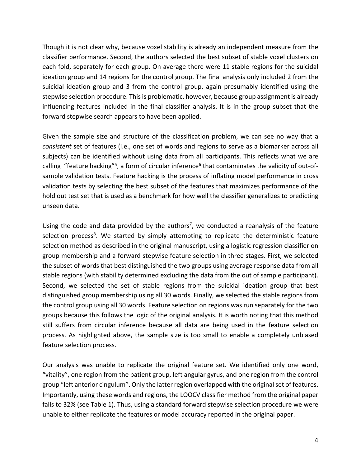Though it is not clear why, because voxel stability is already an independent measure from the classifier performance. Second, the authors selected the best subset of stable voxel clusters on each fold, separately for each group. On average there were 11 stable regions for the suicidal ideation group and 14 regions for the control group. The final analysis only included 2 from the suicidal ideation group and 3 from the control group, again presumably identified using the stepwise selection procedure. This is problematic, however, because group assignment is already influencing features included in the final classifier analysis. It is in the group subset that the forward stepwise search appears to have been applied.

Given the sample size and structure of the classification problem, we can see no way that a *consistent* set of features (i.e., one set of words and regions to serve as a biomarker across all subjects) can be identified without using data from all participants. This reflects what we are calling "feature hacking"<sup>5</sup>, a form of circular inference<sup>6</sup> that contaminates the validity of out-ofsample validation tests. Feature hacking is the process of inflating model performance in cross validation tests by selecting the best subset of the features that maximizes performance of the hold out test set that is used as a benchmark for how well the classifier generalizes to predicting unseen data.

Using the code and data provided by the authors<sup>7</sup>, we conducted a reanalysis of the feature selection process<sup>8</sup>. We started by simply attempting to replicate the deterministic feature selection method as described in the original manuscript, using a logistic regression classifier on group membership and a forward stepwise feature selection in three stages. First, we selected the subset of words that best distinguished the two groups using average response data from all stable regions (with stability determined excluding the data from the out of sample participant). Second, we selected the set of stable regions from the suicidal ideation group that best distinguished group membership using all 30 words. Finally, we selected the stable regions from the control group using all 30 words. Feature selection on regions was run separately for the two groups because this follows the logic of the original analysis. It is worth noting that this method still suffers from circular inference because all data are being used in the feature selection process. As highlighted above, the sample size is too small to enable a completely unbiased feature selection process.

Our analysis was unable to replicate the original feature set. We identified only one word, "vitality", one region from the patient group, left angular gyrus, and one region from the control group "left anterior cingulum". Only the latter region overlapped with the original set of features. Importantly, using these words and regions, the LOOCV classifier method from the original paper falls to 32% (see Table 1). Thus, using a standard forward stepwise selection procedure we were unable to either replicate the features or model accuracy reported in the original paper.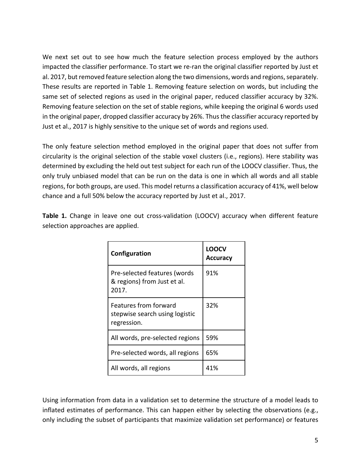We next set out to see how much the feature selection process employed by the authors impacted the classifier performance. To start we re-ran the original classifier reported by Just et al. 2017, but removed feature selection along the two dimensions, words and regions, separately. These results are reported in Table 1. Removing feature selection on words, but including the same set of selected regions as used in the original paper, reduced classifier accuracy by 32%. Removing feature selection on the set of stable regions, while keeping the original 6 words used in the original paper, dropped classifier accuracy by 26%. Thus the classifier accuracy reported by Just et al., 2017 is highly sensitive to the unique set of words and regions used.

The only feature selection method employed in the original paper that does not suffer from circularity is the original selection of the stable voxel clusters (i.e., regions). Here stability was determined by excluding the held out test subject for each run of the LOOCV classifier. Thus, the only truly unbiased model that can be run on the data is one in which all words and all stable regions, for both groups, are used. This model returns a classification accuracy of 41%, well below chance and a full 50% below the accuracy reported by Just et al., 2017.

| Configuration                                                          | LOOCV<br><b>Accuracy</b> |
|------------------------------------------------------------------------|--------------------------|
| Pre-selected features (words<br>& regions) from Just et al.<br>2017.   | 91%                      |
| Features from forward<br>stepwise search using logistic<br>regression. | 32%                      |
| All words, pre-selected regions                                        | 59%                      |
| Pre-selected words, all regions                                        | 65%                      |
| All words, all regions                                                 | 41%                      |

**Table 1.** Change in leave one out cross-validation (LOOCV) accuracy when different feature selection approaches are applied.

Using information from data in a validation set to determine the structure of a model leads to inflated estimates of performance. This can happen either by selecting the observations (e.g., only including the subset of participants that maximize validation set performance) or features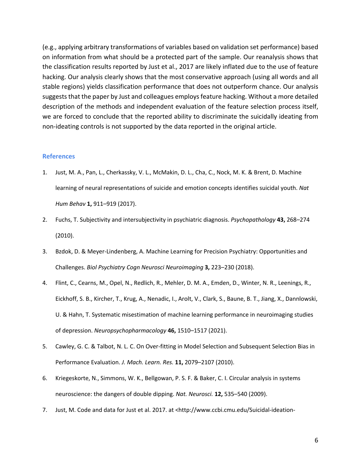(e.g., applying arbitrary transformations of variables based on validation set performance) based on information from what should be a protected part of the sample. Our reanalysis shows that the classification results reported by Just et al., 2017 are likely inflated due to the use of feature hacking. Our analysis clearly shows that the most conservative approach (using all words and all stable regions) yields classification performance that does not outperform chance. Our analysis suggests that the paper by Just and colleagues employs feature hacking. Without a more detailed description of the methods and independent evaluation of the feature selection process itself, we are forced to conclude that the reported ability to discriminate the suicidally ideating from non-ideating controls is not supported by the data reported in the original article.

### **References**

- 1. Just, M. A., Pan, L., Cherkassky, V. L., McMakin, D. L., Cha, C., Nock, M. K. & Brent, D. Machine learning of neural representations of suicide and emotion concepts identifies suicidal youth. *Nat Hum Behav* **1,** 911–919 (2017).
- 2. Fuchs, T. Subjectivity and intersubjectivity in psychiatric diagnosis. *Psychopathology* **43,** 268–274 (2010).
- 3. Bzdok, D. & Meyer-Lindenberg, A. Machine Learning for Precision Psychiatry: Opportunities and Challenges. *Biol Psychiatry Cogn Neurosci Neuroimaging* **3,** 223–230 (2018).
- 4. Flint, C., Cearns, M., Opel, N., Redlich, R., Mehler, D. M. A., Emden, D., Winter, N. R., Leenings, R., Eickhoff, S. B., Kircher, T., Krug, A., Nenadic, I., Arolt, V., Clark, S., Baune, B. T., Jiang, X., Dannlowski, U. & Hahn, T. Systematic misestimation of machine learning performance in neuroimaging studies of depression. *Neuropsychopharmacology* **46,** 1510–1517 (2021).
- 5. Cawley, G. C. & Talbot, N. L. C. On Over-fitting in Model Selection and Subsequent Selection Bias in Performance Evaluation. *J. Mach. Learn. Res.* **11,** 2079–2107 (2010).
- 6. Kriegeskorte, N., Simmons, W. K., Bellgowan, P. S. F. & Baker, C. I. Circular analysis in systems neuroscience: the dangers of double dipping. *Nat. Neurosci.* **12,** 535–540 (2009).
- 7. Just, M. Code and data for Just et al. 2017. at <http://www.ccbi.cmu.edu/Suicidal-ideation-